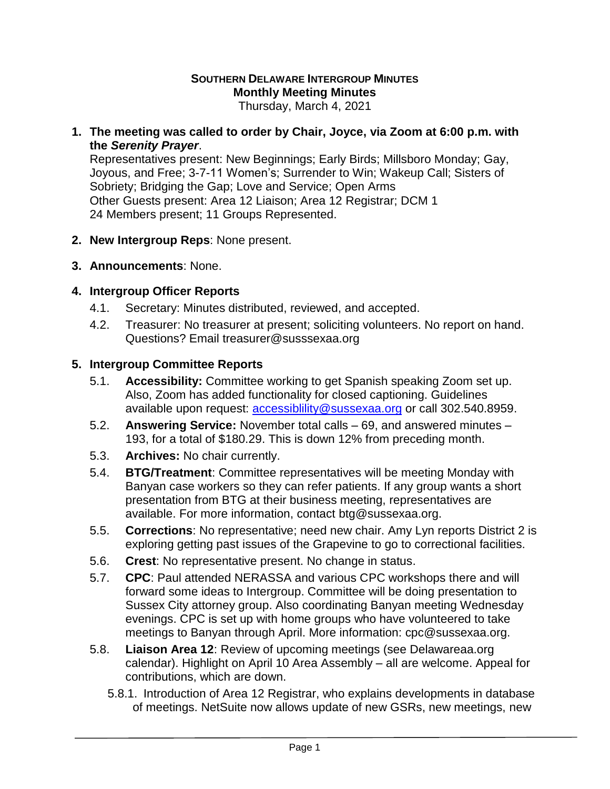## **SOUTHERN DELAWARE INTERGROUP MINUTES Monthly Meeting Minutes**

Thursday, March 4, 2021

**1. The meeting was called to order by Chair, Joyce, via Zoom at 6:00 p.m. with the** *Serenity Prayer*.

Representatives present: New Beginnings; Early Birds; Millsboro Monday; Gay, Joyous, and Free; 3-7-11 Women's; Surrender to Win; Wakeup Call; Sisters of Sobriety; Bridging the Gap; Love and Service; Open Arms Other Guests present: Area 12 Liaison; Area 12 Registrar; DCM 1 24 Members present; 11 Groups Represented.

- **2. New Intergroup Reps**: None present.
- **3. Announcements**: None.

## **4. Intergroup Officer Reports**

- 4.1. Secretary: Minutes distributed, reviewed, and accepted.
- 4.2. Treasurer: No treasurer at present; soliciting volunteers. No report on hand. Questions? Email treasurer@susssexaa.org

## **5. Intergroup Committee Reports**

- 5.1. **Accessibility:** Committee working to get Spanish speaking Zoom set up. Also, Zoom has added functionality for closed captioning. Guidelines available upon request: [accessiblility@sussexaa.org](mailto:accessiblility@sussexaa.org) or call 302.540.8959.
- 5.2. **Answering Service:** November total calls 69, and answered minutes 193, for a total of \$180.29. This is down 12% from preceding month.
- 5.3. **Archives:** No chair currently.
- 5.4. **BTG/Treatment**: Committee representatives will be meeting Monday with Banyan case workers so they can refer patients. If any group wants a short presentation from BTG at their business meeting, representatives are available. For more information, contact btg@sussexaa.org.
- 5.5. **Corrections**: No representative; need new chair. Amy Lyn reports District 2 is exploring getting past issues of the Grapevine to go to correctional facilities.
- 5.6. **Crest**: No representative present. No change in status.
- 5.7. **CPC**: Paul attended NERASSA and various CPC workshops there and will forward some ideas to Intergroup. Committee will be doing presentation to Sussex City attorney group. Also coordinating Banyan meeting Wednesday evenings. CPC is set up with home groups who have volunteered to take meetings to Banyan through April. More information: cpc@sussexaa.org.
- 5.8. **Liaison Area 12**: Review of upcoming meetings (see Delawareaa.org calendar). Highlight on April 10 Area Assembly – all are welcome. Appeal for contributions, which are down.
	- 5.8.1. Introduction of Area 12 Registrar, who explains developments in database of meetings. NetSuite now allows update of new GSRs, new meetings, new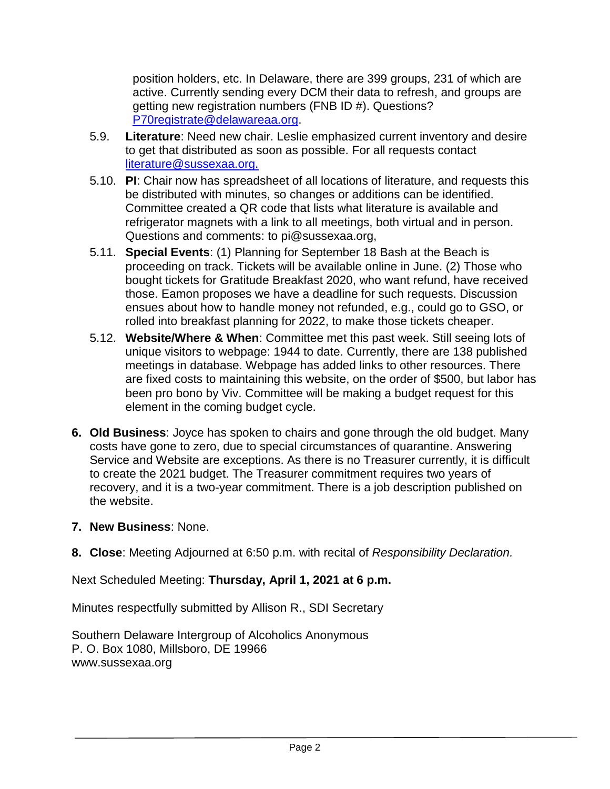position holders, etc. In Delaware, there are 399 groups, 231 of which are active. Currently sending every DCM their data to refresh, and groups are getting new registration numbers (FNB ID #). Questions? [P70registrate@delawareaa.org.](mailto:P70registrate@delawareaa.org)

- 5.9. **Literature**: Need new chair. Leslie emphasized current inventory and desire to get that distributed as soon as possible. For all requests contact [literature@sussexaa.org.](mailto:literature@sussexaa.org.)
- 5.10. **PI**: Chair now has spreadsheet of all locations of literature, and requests this be distributed with minutes, so changes or additions can be identified. Committee created a QR code that lists what literature is available and refrigerator magnets with a link to all meetings, both virtual and in person. Questions and comments: to pi@sussexaa.org,
- 5.11. **Special Events**: (1) Planning for September 18 Bash at the Beach is proceeding on track. Tickets will be available online in June. (2) Those who bought tickets for Gratitude Breakfast 2020, who want refund, have received those. Eamon proposes we have a deadline for such requests. Discussion ensues about how to handle money not refunded, e.g., could go to GSO, or rolled into breakfast planning for 2022, to make those tickets cheaper.
- 5.12. **Website/Where & When**: Committee met this past week. Still seeing lots of unique visitors to webpage: 1944 to date. Currently, there are 138 published meetings in database. Webpage has added links to other resources. There are fixed costs to maintaining this website, on the order of \$500, but labor has been pro bono by Viv. Committee will be making a budget request for this element in the coming budget cycle.
- **6. Old Business**: Joyce has spoken to chairs and gone through the old budget. Many costs have gone to zero, due to special circumstances of quarantine. Answering Service and Website are exceptions. As there is no Treasurer currently, it is difficult to create the 2021 budget. The Treasurer commitment requires two years of recovery, and it is a two-year commitment. There is a job description published on the website.
- **7. New Business**: None.
- **8. Close**: Meeting Adjourned at 6:50 p.m. with recital of *Responsibility Declaration.*

Next Scheduled Meeting: **Thursday, April 1, 2021 at 6 p.m.**

Minutes respectfully submitted by Allison R., SDI Secretary

Southern Delaware Intergroup of Alcoholics Anonymous P. O. Box 1080, Millsboro, DE 19966 www.sussexaa.org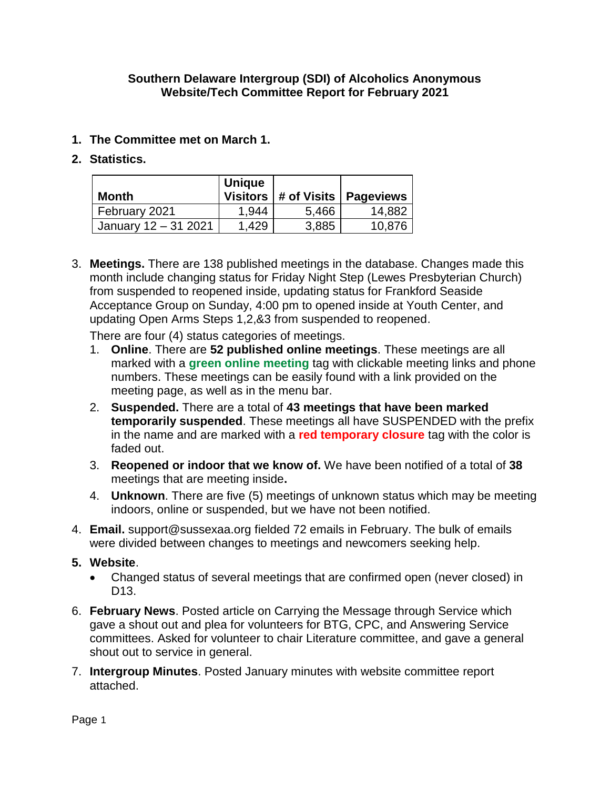## **Southern Delaware Intergroup (SDI) of Alcoholics Anonymous Website/Tech Committee Report for February 2021**

- **1. The Committee met on March 1.**
- **2. Statistics.**

| Month                | <b>Unique</b> |       | Visitors   # of Visits   Pageviews |
|----------------------|---------------|-------|------------------------------------|
| February 2021        | 1,944         | 5,466 | 14,882                             |
| January 12 - 31 2021 | 1,429         | 3,885 | 10,876                             |

3. **Meetings.** There are 138 published meetings in the database. Changes made this month include changing status for Friday Night Step (Lewes Presbyterian Church) from suspended to reopened inside, updating status for Frankford Seaside Acceptance Group on Sunday, 4:00 pm to opened inside at Youth Center, and updating Open Arms Steps 1,2,&3 from suspended to reopened.

There are four (4) status categories of meetings.

- 1. **Online**. There are **52 published online meetings**. These meetings are all marked with a **green online meeting** tag with clickable meeting links and phone numbers. These meetings can be easily found with a link provided on the meeting page, as well as in the menu bar.
- 2. **Suspended.** There are a total of **43 meetings that have been marked temporarily suspended**. These meetings all have SUSPENDED with the prefix in the name and are marked with a **red temporary closure** tag with the color is faded out.
- 3. **Reopened or indoor that we know of.** We have been notified of a total of **38** meetings that are meeting inside**.**
- 4. **Unknown**. There are five (5) meetings of unknown status which may be meeting indoors, online or suspended, but we have not been notified.
- 4. **Email.** support@sussexaa.org fielded 72 emails in February. The bulk of emails were divided between changes to meetings and newcomers seeking help.
- **5. Website**.
	- Changed status of several meetings that are confirmed open (never closed) in D13.
- 6. **February News**. Posted article on Carrying the Message through Service which gave a shout out and plea for volunteers for BTG, CPC, and Answering Service committees. Asked for volunteer to chair Literature committee, and gave a general shout out to service in general.
- 7. **Intergroup Minutes**. Posted January minutes with website committee report attached.

Page 1